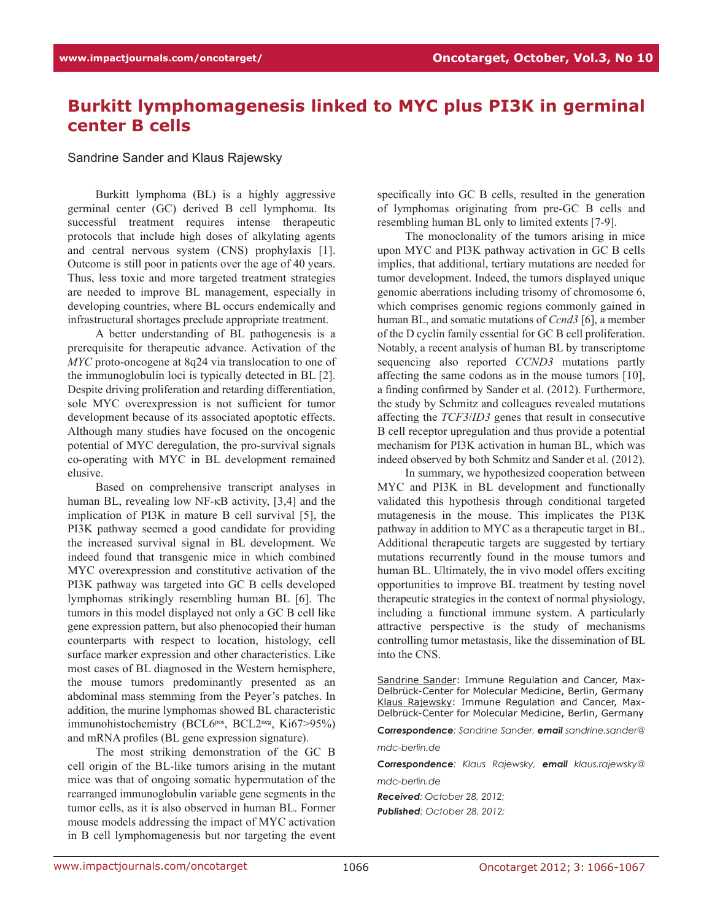## **Burkitt lymphomagenesis linked to MYC plus PI3K in germinal center B cells**

## Sandrine Sander and Klaus Rajewsky

Burkitt lymphoma (BL) is a highly aggressive germinal center (GC) derived B cell lymphoma. Its successful treatment requires intense therapeutic protocols that include high doses of alkylating agents and central nervous system (CNS) prophylaxis [1]. Outcome is still poor in patients over the age of 40 years. Thus, less toxic and more targeted treatment strategies are needed to improve BL management, especially in developing countries, where BL occurs endemically and infrastructural shortages preclude appropriate treatment.

A better understanding of BL pathogenesis is a prerequisite for therapeutic advance. Activation of the *MYC* proto-oncogene at 8q24 via translocation to one of the immunoglobulin loci is typically detected in BL [2]. Despite driving proliferation and retarding differentiation, sole MYC overexpression is not sufficient for tumor development because of its associated apoptotic effects. Although many studies have focused on the oncogenic potential of MYC deregulation, the pro-survival signals co-operating with MYC in BL development remained elusive.

Based on comprehensive transcript analyses in human BL, revealing low NF-κB activity, [3,4] and the implication of PI3K in mature B cell survival [5], the PI3K pathway seemed a good candidate for providing the increased survival signal in BL development. We indeed found that transgenic mice in which combined MYC overexpression and constitutive activation of the PI3K pathway was targeted into GC B cells developed lymphomas strikingly resembling human BL [6]. The tumors in this model displayed not only a GC B cell like gene expression pattern, but also phenocopied their human counterparts with respect to location, histology, cell surface marker expression and other characteristics. Like most cases of BL diagnosed in the Western hemisphere, the mouse tumors predominantly presented as an abdominal mass stemming from the Peyer's patches. In addition, the murine lymphomas showed BL characteristic immunohistochemistry (BCL6<sup>pos</sup>, BCL2<sup>neg</sup>, Ki67>95%) and mRNA profiles (BL gene expression signature).

The most striking demonstration of the GC B cell origin of the BL-like tumors arising in the mutant mice was that of ongoing somatic hypermutation of the rearranged immunoglobulin variable gene segments in the tumor cells, as it is also observed in human BL. Former mouse models addressing the impact of MYC activation in B cell lymphomagenesis but nor targeting the event specifically into GC B cells, resulted in the generation of lymphomas originating from pre-GC B cells and resembling human BL only to limited extents [7-9].

The monoclonality of the tumors arising in mice upon MYC and PI3K pathway activation in GC B cells implies, that additional, tertiary mutations are needed for tumor development. Indeed, the tumors displayed unique genomic aberrations including trisomy of chromosome 6, which comprises genomic regions commonly gained in human BL, and somatic mutations of *Ccnd3* [6], a member of the D cyclin family essential for GC B cell proliferation. Notably, a recent analysis of human BL by transcriptome sequencing also reported *CCND3* mutations partly affecting the same codons as in the mouse tumors [10], a finding confirmed by Sander et al. (2012). Furthermore, the study by Schmitz and colleagues revealed mutations affecting the *TCF3*/*ID3* genes that result in consecutive B cell receptor upregulation and thus provide a potential mechanism for PI3K activation in human BL, which was indeed observed by both Schmitz and Sander et al. (2012).

In summary, we hypothesized cooperation between MYC and PI3K in BL development and functionally validated this hypothesis through conditional targeted mutagenesis in the mouse. This implicates the PI3K pathway in addition to MYC as a therapeutic target in BL. Additional therapeutic targets are suggested by tertiary mutations recurrently found in the mouse tumors and human BL. Ultimately, the in vivo model offers exciting opportunities to improve BL treatment by testing novel therapeutic strategies in the context of normal physiology, including a functional immune system. A particularly attractive perspective is the study of mechanisms controlling tumor metastasis, like the dissemination of BL into the CNS.

Sandrine Sander: Immune Regulation and Cancer, Max-Delbrück-Center for Molecular Medicine, Berlin, Germany Klaus Rajewsky: Immune Regulation and Cancer, Max-Delbrück-Center for Molecular Medicine, Berlin, Germany

*Correspondence: Sandrine Sander, email sandrine.sander@*

*mdc-berlin.de* 

*Correspondence: Klaus Rajewsky, email klaus.rajewsky@ mdc-berlin.de*

*Received: October 28, 2012; Published: October 28, 2012;*